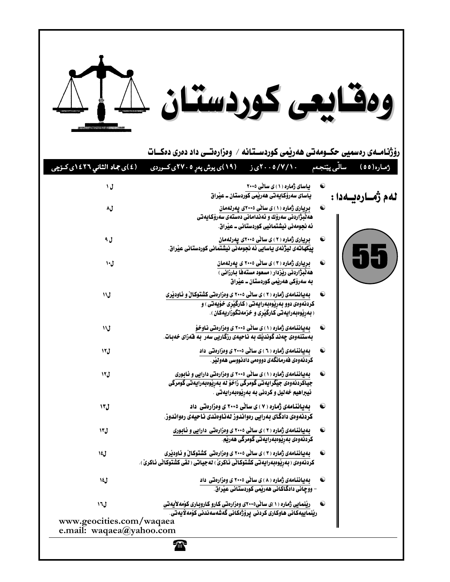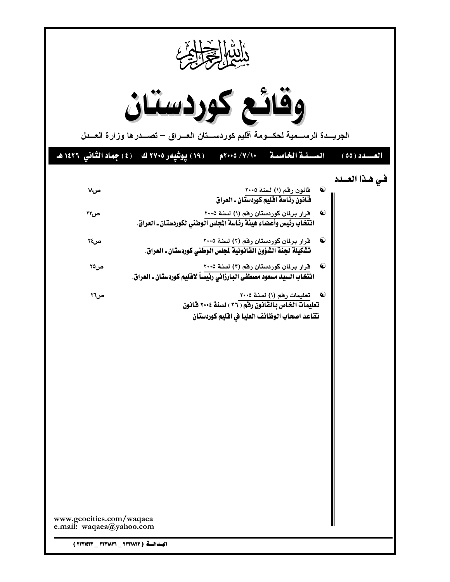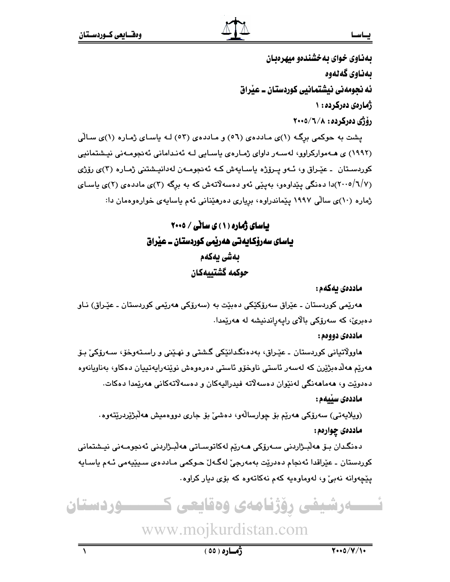#### يساسسا

بهناوي خواي به خشندهو ميهرهبان ىمناوى گەنەوە ئه نحومەنى نېشتمانيى كوردستان ــ عيراق ژمارهی دهرکرده: ۱ رۆژى دەركردە: ٢٠٠٥/٦/٨

پشت به حوکمی برِگـه (۱)ی مـاددهی (٥٦) و مـاددهی (٥٣) لـه پاسـای ژمـاره (۱)ی سـالّی (۱۹۹۲) ی هـهموارکراوو، لهسـهر داوای ژمـارهی یاسـایی لـه ئهندامانی ئهنجومـهنی نیـشتمانیی کوردستان ۔ عیّراق و، ئەو پىرۆژە ياسايەش كە ئەنجومەن لەدانپشتنى ژمارە (٣)ى رۆژى (۲/۰۰/۱/۷)دا دهنگی پێداوهو، بهیێی ئهو دهسهلاتهش که به برگه (۳)ی ماددهی (۲)ی پاسای ژماره (۱۰)ی سالّی ۱۹۹۷ ییّماندراوه، بریاری دهرهیّنانی ئهم یاسایهی خوارهوهمان دا:

> بیاسای ژماره (۱) ی سالّی / ۲۰۰۵ یاسای سەرۆکایەتی ھەریمی کوردستان ــ عیراق بەشى يەكەم حوكمه كشتىىمكان

> > ماددەي ئەكەم :

هەرێمی کوردستان ـ عێراق سەرۆکێکی دەبێت بە (سەرۆکی ھەرێمی کوردستان ـ عێـراق) نـاو دەبرى، كە سەرۆكى بالاي رايەراندنيشە لە ھەرێمدا.

ماددەي دووەم :

هاوولاتياني کوردستان ـ عێراق، بهدهنگدانێکي گشتي و نهـێني و راسـتهوخۆ، سـهرۆکي بـۆ هەرێم ھەلدەبژێرن كە لەسەر ئاستى ناوخۆو ئاستى دەرەوەش نوێنەراپەتىپان دەكاو، بەناويانەوە دەدويّت و، ھەماھەنگى لەنێوان دەسەلاتە فيدراليەكان و دەسەلاتەكانى ھەرپمدا دەكات.

ماددەى سىيەم :

(ويلايەتى) سەرۆكى ھەريم بۆ چوارسالەو، دەشى بۆ جارى دورەميش ھەلىژىردرىيتەوە. ماددهي چوارهم:

دەنگدان بىۆ ھەلبىژاردنى سـەرۆكى ھـەرپم لەكاتوسـاتى ھەلبـژاردنى ئەنجومـەنى نيـشتمانى کوردستان ۔ عٽِراقدا ئەنجام دەدرێت بەمەرجىٚ لەگـﻪلٚ حـوکمی مـاددەی سـيٽيەمی ئـﻪم ياسـايە يێڃەوانە نەبىؒ و، لەوماوەيە كەم نەكاتەوە كە بۆى ديار كراوە.

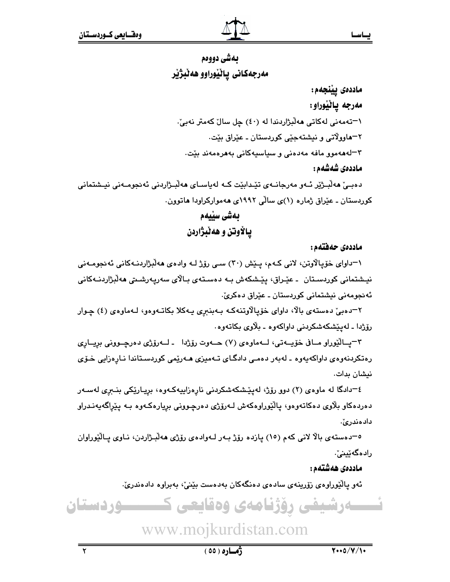بساسسا

# بهشي دووهم مەرجەكانى ياٽيوراوو ھەٽبژير

ماددەى يێنجەم: مەرجە يانيوراو: ۱–تەمەنى لەكاتى ھەلىژاردىدا لە (٤٠) چل سال كەمتر نەبىّ. ٢–ماوولاتي و نيشتهجٽي کوردستان ـ عٽراق بٽت-۳–لەھەمور مافە مەدەنى و سياسيەكانى بەھرەمەند بێت. ماددەى شەشەم :

دەبىيّ ھەلبىژێر ئـەو مەرجانـەي تێدابێت كـە لەياسـاي ھەلبـژاردنى ئەنجومـەنى نيـشتمانى کوردستان ـ عیّراق ژماره (۱)ی سالّی ۱۹۹۲ی ههموارکراودا هاتوون.

> بەشى سێيەم يـالأوتن و هەنبژاردن

> > ماددەى حەفتەم:

١-داواي خوّيالاوتن، لاني كـهم، پـێش (٣٠) سـي روِّژ لـه وادهي هه لبژاردنـهكاني ئه نجومـهني نيـشتمانى كوردسـتان ـ عێـراق، پێـشكەش بـه دەسـتەي بـالاي سەريەرشـىتى ھەلْبژاردنـﻪكانى ئەنجومەنى نېشتمانى كورىستان ـ عٽراق دەكرىؒ۰

۲–دەبیّ دەستەی بالا، داوای خۆپالاوتنەكە بەبنىرى پەكلا بكاتـەوەو، لـەماوەی (٤) چـوار رۆژدا ـ لەيٽشكەشكردنى داواكەوە ـ بلاوى بكاتەوە.

٣-پيالٽوراو ميافي خۆييەتى، ليەماوەي (٧) حيەوت رۆژدا - ليەرۆژى دەرچىوونى برييارى رەتكردنەوەي داواكەپەوە ـ لەبەر دەمىي دادگاي تـەميزى ھـەرێمى كوردسـتاندا نـارەزايى خـۆى نیشان بدات.

٤–دادگا له ماوهى (٢) دوو رۆژ، لەپێشكەشكردنى نارەزاييەكەوە، بريـارێكى بنـبرى لەسـەر دەردەكاو بلاوى دەكاتەوەو، يالێوراوەكەش لـەرۆژى دەرچـوونى بريارەكـەوە بـە يێراگەيەنـدراو دادەندرئ.

٥–دەستەي بالا لانى كەم (١٥) يازدە رۆژ بـەر لـەوادەي رۆژى ھەلبـژاردن، نـاوى يـالێوراوان رادەگەٽىنىؒ.

ماددەى ھەشتەم:

ئەو پالێوراوەي زۆرينەي سادەي دەنگەكان بەدەست بێنى، بەبراوە دادەندرىؒ.



 $\overline{\mathbf{r}}$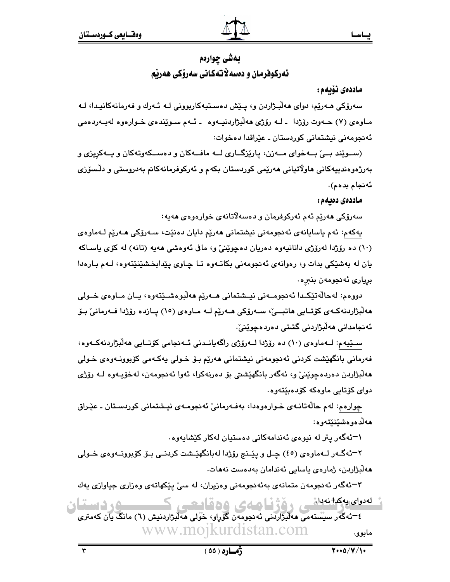# بەشى چوارەم ئەركوفرمان و دەسەلاتەكانى سەرۆكى ھەرنم

#### ماددەى نۆبەم :

سەرۆكى ھـەرێم، دواي ھەڵبـژاردن و، يـێش دەسـتبەكاربوونى لـه ئـەرك و فەرمانەكانيـدا، لـە مـاوهي (٧) حــهوت رۆژدا ــ لــه رۆژى هەلىژاردىنيــهوه ــ ئــهم ســوێندەي خــوارەوه لەبــهردەمى ئەنجومەنى نيشتمانى كوردستان ـ عێراقدا دەخوات:

(سـوێند بـیٌ بـهخوای مـهزن، پارێزگـاری لـه مافـهکان و دهسـکهوتهکان و پـهکریزی و بەرژەوەندىيەكانى ھاولاتيانى ھەرپمى كوردستان بكەم و ئەركوفرمانەكانم بەدروستى و دلـْسۆزى ئەنجام بدەم).

ماددەى دەىمە :

سەرۆكى ھەرپم ئەم ئەركوفرمان و دەسەلاتانەي خوارەوەي ھەيە:

يەكەم: ئەم ياسايانەي ئەنجومەنى نيشتمانى ھەرێم دايان دەنێت، سـەرۆكى ھـەرێم لـﻪماوەي (۱۰) ده رۆژدا لەرۆژى دانانيەوه دەريان دەچوپنى و، مافى ئەوەشى ھەيە (تانە) لە كۆي ياساكە يان له بهشێکی بدات و، رهوانهی ئهنجومهنی بکاتـهوه تـا چـاوی پێدابخشێنێتهوه، لـهم بـارهدا برياري ئەنجومەن بنىرە.

دووهم: لهحالُهتێکـدا ئەنجومــەنى نيــشتمانى هــەرێم هەلٚبوەشــێتەوە، يــان مــاوەي خــولى هەلبژاردنەكـەي كۆتـايى ھاتبــێ، سـەرۆكى ھـەرێم لــە مـاوەي (١٥) يــازدە رۆژدا فــەرمانىٚ بـۆ ئەنجامدانى ھەلىژاردنى گشتى دەردەچوينىٚ.

سـێپهم: لـهماوهي (١٠) ده رۆژدا لـهرۆژي راگهپانـدني ئـهنجامي كۆتـايي هەلبژاردنهكـهوه، فەرمانى بانگهێشت كردنى ئەنجومەنى نيشتمانى ھەرێم بىۆ خىولى پەكەمى كۆبوونـەوەى خىولى ھەلْبِژاردن دەردەچوێنىٚ و، ئەگەر بانگھێشتى بۆ دەرنەكرا، ئەوا ئەنجومەن، لەخۆپـەوە لــە رۆژى دوای کۆتايى ماوەكە كۆدەبێتەوە.

چوارهم: لهم حالّهتانهى خوارهوهدا، بهفهرمانيّ ئهنجومهى نيشتماني كوردستان ـ عيّراق ھەلدەوەشىيىيتەوە:

۱–ئەگەر يتر لە نيوەي ئەندامەكانى دەستيان لەكار كێشاپەوە.

٢–ئەگــەر لــهماوهى (٤٥) چـل و يێـنـج رۆژدا لهبانگهێـشت كردنــى بــۆ كۆبوونــهوهى خــولى ھەلبژاردن، ژمارەي ياسايى ئەندامان بەدەست نەھات.

۳–ئەگەر ئەنجومەن متمانەي بەئەنجومەنى وەزيران، لە سىّ يێكھاتەي وەزارى جياوازى يەك لەدران يەكدانەدانى ، دۆۋفا ھەي 15 كۈندى ك ۰۹ دستان

٤–ئەگەر سىستەمى مەلبزاردنى ئەنجومەن گۆرلو، خولى مەلبزاردنىش (٦) مانگ يان كەمترى www.mojkurdistan.com مابوو.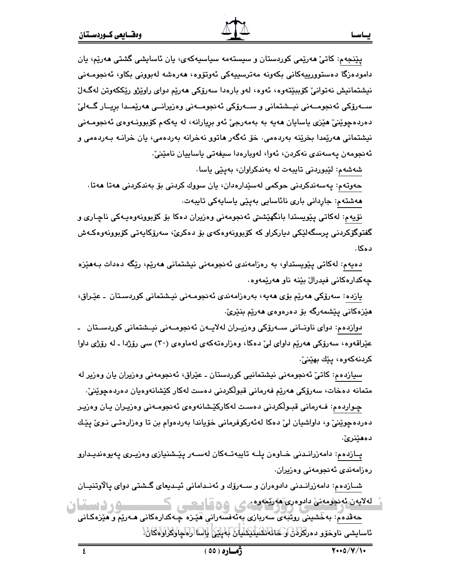پێنجەم: کاتیٚ ھەرێمی کوردستان و سیستەمە سیاسیەکەی، یان ئاسایشی گشتی ھەرێم، یان دامودەزگا دەستوورىيەكانى بكەونە مەترسىيەكى ئەوتۆوە، ھەرەشە لەبوونى بكاو، ئەنجومـەنى نيشتمانيش نەتوانى كۆببێتەوە، ئەوە، لەو بارەدا سەرۆكى ھەرێم دواي راوێژو رێككەوتن لەگەلّ ســەرۆكى ئەنجومــەنى نيــشتمانى و ســەرۆكى ئەنجومــەنى وەزيرانــى ھەرێمــدا بريــار گــەلىٚ دەردەچوێنیٚ هێزی ياسايان ھەيە بە بەمەرجیٚ ئەو بريارانە، لە يەكەم كۆبوونـەوەی ئەنجومـەنى نیشتمانی مەرپّمدا بخریّنه بەردەمی. خۆ ئەگەر ماتوو نەخرانە بەردەمی، يان خرانــه بــەردەمی و ئەنجومەن يەسەندى نەكردن، ئەوا، لەويارەدا سيفەتى ياساييان نامێنىٰ:

شەشەم: لێبوردنى تايبەت لە بەندكراوان، بەيێى ياسا.

حەوتەم: يەسەندكردنى حوكمى لەسپدارەدان، يان سووك كردنى بۆ بەندكردنى ھەتا ھەتا. مەشتەم: جاردانى بارى نائاسايى بەپێى ياسايەكى تايبەت.

نۆيەم: لەكاتى پێويستدا بانگهێشتى ئەنجومەنى وەزيران دەكا بۆ كۆبورنەوەيـەكى ناچـارى و گفتوگۆکردنى پرسگەلێکى دېارکراو کە کۆبوونەوەکەي بۆ دەکرێ، سەرۆکاپەتى کۆبوونەوەکەش د هکا .

دەپەم: لەكاتى پێويستداو، بە رەزامەندى ئەنجومەنى نيشتمانى ھەرێم، رێگە دەدات بـەھێزە چەكدارەكانى فيدرال بێنە ناو ھەرێمەوە.

يازدە: سەرۆكى ھەرێم بۆى ھەيە، بەرەزامەندى ئەنجومەنى نيشتمانى كوردسىتان ـ عێراق، هێزەكانى پێشمەرگە بۆ دەرەوەي ھەرێم بنێرێ.

دوازدەم: دواي ناونــانى ســەرۆكى وەزيــران لەلايــەن ئەنجومــەنى نيــشتمانى كوردســتان ـ عێراقەوە، سەرۆكى ھەرێم داواي لىٚ دەكا، وەزارەتەكەي لەماوەي (٣٠) سى رۆژدا ـ لە رۆژى داوا كردنەكەوە، يێك بهێنىٚ.

سيازدهم: کاتيٰ ئەنجومەنى نيشتمانيي کوردستان ـ عێراق، ئەنجومەنى وەزيران يان وەزير لە متمانه دەخات، سەرۆكى ھەرێم فەرمانى قبولكردنى دەست لەكار كێشانەوەيان دەردەچوێنىٚ.

چـواردەم: فــەرمانى قبـوڵكردنى دەسـت لەكاركێـشانەوەى ئەنجومــەنى وەزيـران يـان وەزيـر دەردەچوێنى و، داواشيان لى دەكا لەئەركوفرمانى خۆياندا بەردەوام بن تا وەزارەتى نـوى پێك دەھێنرێ٠

پـازدەم: دامەزرانـدنى خـاوەن پلــه تايبەتــەكان لەســەر پێـشنيازى وەزيـرى پەيوەنديـدارو رەزامەندى ئەنجومەنى وەزيران.

شىازدەم: دامەزرانىدنى دادوەران و سىەرۆك و ئەنىدامانى ئيىدىغاى گىشتى دواى پالاوتنيــان لەلايەن ئەنجومەنى دادوەرى ھەرپمەرەمى 300 كىسى ك ِ جەڤدەم: بەخشىنى روتبە*ي س*ەربازى بەئەفسەرانى ھێزە چـەكدارەكانى ھـەرێم و ھێزەكـانى ئاسايشى ناوخۆر دەرلكرارىكاغاناشىلىشلىك لېلىيكى لىسا (راكيارلارارلاقان!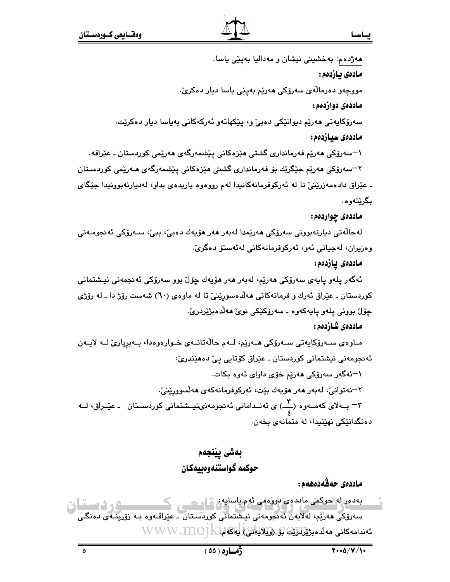هەژدەم: بەخشىنى نيشان و مەداليا بەپێى ياسا. مادەي بازدەم : مووجهو دەرمالەی سەرۆکی ھەریم بەپیی پاسا دیار دەكریّ. ماددهي دواردهم : سەرۆكاپەتى ھەرێم دىوانێكى دەبىٚ و، يێكھاتەو ئەركەكانى بەياسا دىار دەكرێت. ماددەي سىازدەم : ۱–سەرۆكى مەرپە فەرماندارى گشتى مێزەكانى يێشمەرگەي مەرپمى كوردستان ـ عێراقە٠ ۲–سەرۆكى مەرپە جېگريك بۆ فەرماندارى گشتى مېزەكانى يېشمەرگەي مـەرپمى كوردسـتان ـ عێراق دادهمەزرێنیٌ تا له ئەرکوفرمانەکانیدا لەم رووەوە ياريدەی بداو، لەديارنەبوونیدا جێگای بگرێتەوە. ماددهي چواردهم: لەحالەتى ديارنەبوونى سەرۆكى ھەرپمدا لەبەر ھەر ھۆيەك دەبى، ببى، سـەرۆكى ئەنجومـەنى وەزيران، لەجياتى ئەو، ئەركوفرمانەكانى لەئەستۆ دەگرىّ. ماددەى يازدەم: ئەگەر يلەر يايەي سەرۆكى ھەريّم، لەبەر ھەر ھۆيەك چۆل بور سەرۆكى ئەنجمەنى نيـشتمانى کوردستان ـ عێراق ئەرك و فرمانەکانى ھەلّاەسورێنىٚ تا لە ماوەی (٦٠) شەست رۆژ دا ـ لە رۆژى چۆل بوونى پلەو پايەكەرە ـ سەرۆكێكى نوێ ھەلدەبژێردرێ. ماددەي شازدەم : مـاوەي سـەرۆكايەتى سـەرۆكى ھـەرێم، لـەم حالّەتانـەي خـوارەوەدا، بـەبريارىّ لــە لايـەن ئەنجومەنى نيشتمانى كوردستان ـ عێراق كۆتايى پىٚ دەھێندرئ: ۱–ئەگەر سەرۆكى ھەريم خۆى داواى ئەوە بكات. ۲–نەتوانى، لەبەر مەر مۆيەك بێت، ئەركوفرمانەكەى مەلسوورێنى، ۳ - بــهلای کهمــهوه (\_\_) ی ئهنــدامانی ئهنجومهنینیــشتمانی کوردســتان ـ عیّــراق، لــه دەنگدانێکى نهێنیدا، له متمانهى بخەن. بەشى پينجەم حوكمه گواستنهوهييهكان ماددەى حەقەدەھەم :

بەدەر لە جوكمى ماددەي دوۋەمى ئەم ياسايەن قيام ھىسى كى سەرۆكى ھەرپم، لەلايەن ئەنجومەنى نيشتمانى كورىسىتان ـ عيراقـەوە بـە زۆرينـەي دەنگـى ئەندامەكانى ھەلدەبزىلدانىڭ بۇ (وَلِلاَيَاتَىْ) لِكَكَها VVW . MO] K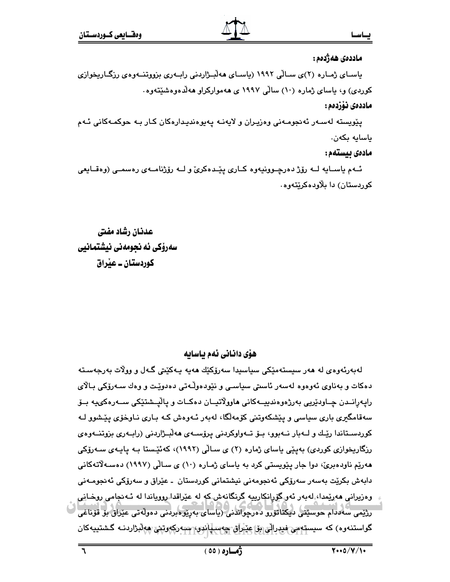#### ماددەى ھەژدەم :

باسـای ژمـاره (۲)ی سـالّی ۱۹۹۲ (باسـای ههڵبـژاردنی رابـهری بزووتنـهوهی رزگـاریخوازی کوردی) و، پاسای ژماره (۱۰) سالّی ۱۹۹۷ ی ههموارکراو ههلّدهوهشیّتهوه.

### ماددەي ئۆزدەم :

يٽويسته لهسـهر ئهنجومـهني وهزيـران و لايهنـه پهيوهنديـدارهكان كـار بـه حوكمـهكاني ئـهم ياسايه بكەن.

### مادەى بيستەم :

ئــهم باســابه لــه رۆژ دەرچــوونيەوە كــارى يێـدەكرىّ و لــه رۆژنامــهى رەسمــى (وەقــابعى کوردستان) دا بلاودهکریتهوه.

عدنان رشاد مفتى سەرۆكى ئە نحومەنى نېشتمانيى کوردستان ۔ عنراق

## ھۆی دانانی ئەم باسايە

لەبەرئەوەي لە ھەر سيستەمێكى سياسىدا سەرۆكێك ھەيە يـەكێتى گـەل و وولات بەرجەسـتە دەكات و بەناوى ئەوەوە لەسەر ئاستى سياسى و نێودەوڵەتى دەدوێت و وەك سـەرۆكى بـالاي رايەرانــدن چــاودێريى بەرژەوەندېيــەكانى ھاوولاتيــان دەكــات و ياليــشتێكى ســەرەكى،يە بــۆ سەقامگیری باری سیاسی و یێشکەوتنی کۆمەلگا، لەبەر ئـەوەش کـە بـاری نـاوخۆی یێشوو لـە کوردستاندا ریّـك و لــهبار نــهبوو، بـۆ تــهواوكردنى پرۆســهى هەلبـژاردنى (رابــهرى بزوتنــهوهى رزگاریخوازی کوردی) بەیێی یاسای ژمارە (۲) ی سـالّی (۱۹۹۲)، کەئێستا بـه یاپـەی سـەرۆکی هەرێم ناودەبرێ، دوا جار پێویستی کرد به پاسای ژمـارە (۱۰) ی سـالّی (۱۹۹۷) دەسـﻪلّاتەکانی دابەش بكرێت بەسەر سەرۆكى ئەنجومەنى نىشتمانى كوردستان ـ عێراق و سەرۆكى ئەنجومـەنى وەزيرانى مەرپمدا، لەبەر ئەرگۆرانكارىيە گرنگانەش كە لە عىراقدا رورياندا لە ئـەنجامى روخـانى رژێمی سەددام خوسٽِنی دیکتاتورو دەرجواندنی (پاسای بەرێوەبردنی دەولەتی عێراق بۆ قۆناغی گواستنەوە) كە سىستەمى فيدراتى بۆ<sub>)</sub> م<u>ۆر</u>اق چەسپاندو، سەركەرتىي ھەلىزاردنـە گـشتىيەكان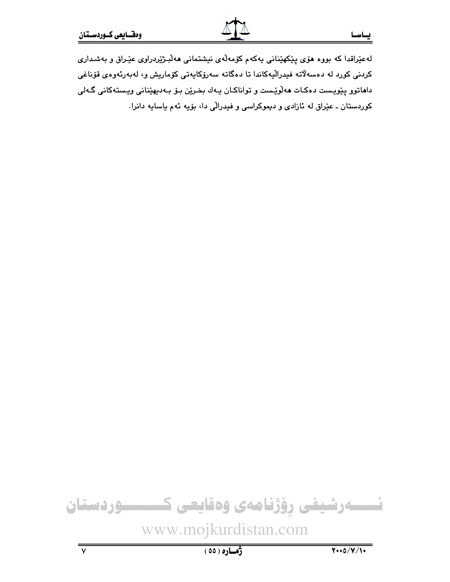لەعێراقدا كە بورە ھۆى پێكھێنانى پەكەم كۆمەلّەي نيشتمانى ھەلبىژێردراوى عێراق و بەشدارى كردنى كورد له دەسەلاتە فيدراليەكاندا تا دەگاتە سەرۆكايەتى كۆماريش و، لەبەرئەوەي قۆناغى داماتوو پێویست دهکات مەلّۈێست و تواناکان یـهك بخـرێن بـۆ بـهدیهێنانی ویـستهکانی گـهلی کوردستان ـ عیّراق له ئازادی و دیموکراسی و فیدرالّی دا، بۆیه ئهم یاسایه دانرا.

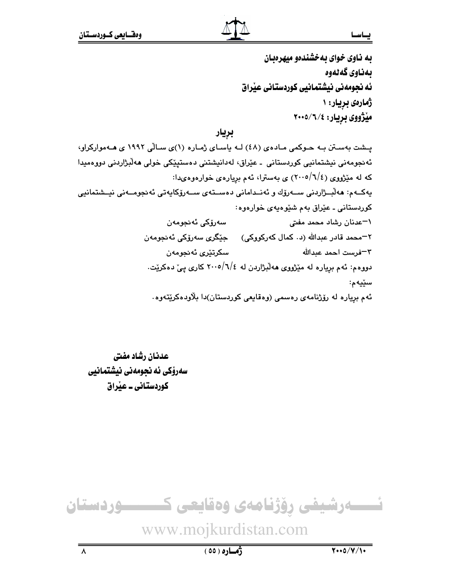به ناوی خوای به خشندهو میهرهبان ىمناوى گەنەوە ئه نجومهني نيشتمانيي كوردستاني عيّراق ژمارهی بریار: ۱ میْژووی بریار: ۲۰۰۵/٦/۶

## بريار

پشت بهستن به حـوکمی مـادهی (٤٨) لـه ياسـای ژمـاره (١)ی سـالّی ١٩٩٢ ی هـهموارکراو، ئەنجومەنى نيشتمانيى كوردستانى ـ عێراق، لەدانيشتنى دەستېێكى خولى ھەلْبژاردنى دووەمىدا که له مێژووي (٢٠٠٥/٦/٤) ی بهسترا، ئهم بریارهی خوارهوهىدا: پەكــەم: ھەلْبــژاردنى ســەرۆك و ئەنــدامانى دەســتەي ســەرۆكاپەتى ئەنجومــەنى نيــشتمانيى کوردستانی ـ عێراق بهم شێوهپهی خوارهوه: سەرۆكى ئەنجومەن ۱–عدنان رشاد محمد مفتی ٢=محمد قادر عبدالله (د٠ کمال کهرکووکی) \_\_ جێگری سهرۆکی ئه نجومهن سكرتٽري ئەنجومەن ٣–فرست احمد عبدالله دووهم: ئهم بږیاره له مێژووی ههڵبژاردن له ٤/٦/٥/٦ کاری پیّ دهکریّت. سێڽەم: ئهم بږیاره له رۆژنامهی رەسمی (وەقايعی کوردستان)دا بلاّودەکرێتەوە.

عدنان رشاد مفتى سەرۆكى ئە نجومەنى نيشتمانيى کوردستانی ـ عیراق



# www.mojkurdistan.com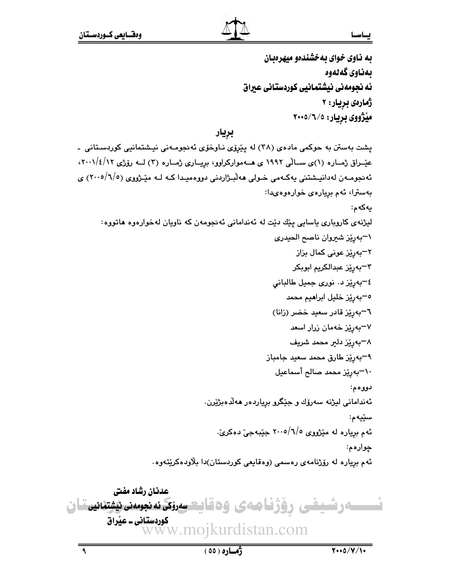به ناوی خوای به خشندهو میهرهبان ىمناوى گەنەوە ئه نجومهني نيشتمانيي كوردستاني عيراق ژمارەي بريار: ۲ میژووی بریار: ۲۰۰۵/٦/٥

بريار

پشت بهستن به حوکمی مادهی (۳۸) له پێرۆی نـاوخۆی ئهنجومـهنی نیـشتمانیی کوردسـتانی -عیّــراق ژمــاره (۱)ی ســالّی ۱۹۹۲ ی هــهموارکراوو، برِیــاری ژمــاره (۲) لــه روّرتی ۰،۰۱/٤/۱۲، ئەنجومـەن لەدانيـشتنى يەكـەمى خـولى ھەلّبـژاردنى دووەميـدا كـە لـە مێـژووى (٢٠٠٥/٦/٥) ي بەسترا، ئەم بريارەي خوارەوەيدا: يەكەم: لیژنهی کاروباری باسایی پێك دێت له ئهندامانی ئهنجومهن كه ناویان لهخوارهوه هاتووه: ١-بەرێز شيروان ناصح الحيدرى ٢–بەرێز عونى كمال بزاز ٣–ٻەرێِز عبدالكريم ابوبكر ٤-بەرێز د. نورى جميل طالبانى <sup>0</sup>–بەرپر خلیل ابرا**م**یم محمد ٦–بەرێز قادر سعید خضر (زانا) ۷–بەرێ<mark>ز خ</mark>ەمان زرار اسعد ۸–بەرێز دلیر محمد شریف ۹–بەرێز طارق محمد سعید جامباز ١٠-بەرێز محمد صالح أسماعيل دووهم: ئەندامانى ليژنە سەرۆك و جێگرو برِياردەر ھەلدەبژێِرن. سێڽەم: ئهم برياره له مێژووى ٥/٦/٥-٢٠٠ جێبهجيّ دهكريّ. چوارهم: ئهم بریاره له رۆژنامهی رەسمی (وەقايعی کوردستان)دا بلاودەکرێتەوە. عدنان رشاد مفتى

ـەرشىفى رۇژقاھەى ۋەقايتىسرى*كى نەنجومىن ئىشتىلىنى*قان کوردستانی ــ عیراق vww.moikurdistan.com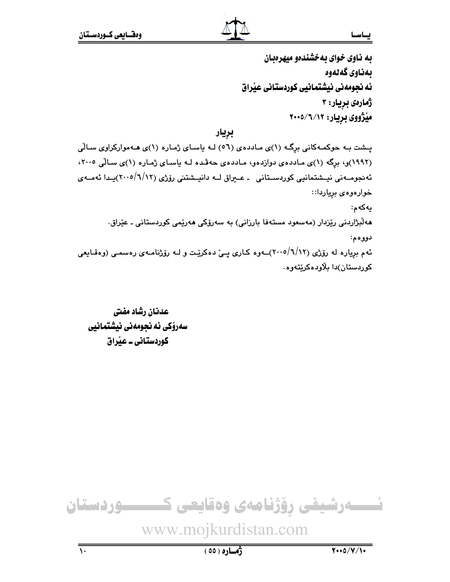### يساسما

به ناوی خوای به خشندهو میهرهبان ىمناوى گەنەوە ئه نجومهني نيشتمانيي كوردستاني عيّراق ژمارەي بريار: ۳ میْژووی بریار: ۲۰۰۵/٦/۱۲

## بريار

پــشت بـه حوکمـهکانی برِگـه (۱)ی مـاددهی (٥٦) لـه یاسـای ژمـاره (۱)ی هـهموارکراوی سـالّی (۱۹۹۲)و، برگه (۱)ی ماددهی دوازدهو، ماددهی حهفده لـه باسای ژماره (۱)ی سالی ۲۰۰۰، ئەنجومــەنى نيـىشتمانيى كوردسـتانى ـ عــيراق لــه دانيـىشتنى رۆژى (٦/١٢/١٠٠٥)يـدا ئەمــەي خوارەوەى برياردا:: يەكەم: هەلْبِژاردنى رێزدار (مەسعود مستەفا بارزانى) بە سەرۆكى ھەرێمى كوردستانى ـ عێراق. دووهم: ئهم بریاره له رۆژی (٦/١٢/١٠٥)ــهوه کـاری یــیّ دهکریّـت و لــه رۆژنامـهی رهسمـی (وهقـایعی کوردستان)دا بلاودهکریتهوه۰

عدنان رشاد مفتى سەرۆكى ئە نجومەنى نيشتمانيى کوردستانی ۔ عنراق

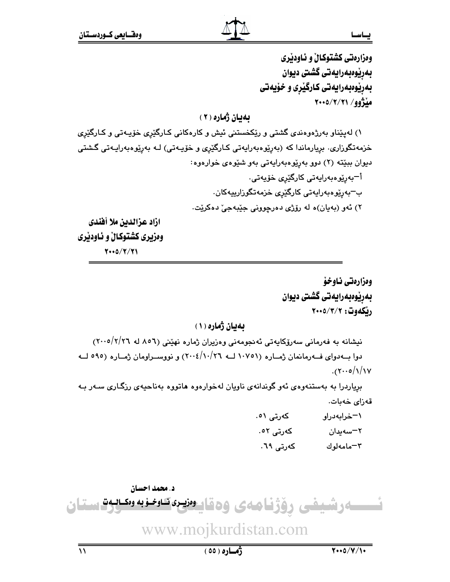وهزارهتي كشتوكالٌ و ئـاودێري بەرپوەبەرايەتى گشتى ديوان بهريوهبهرايهتي كارگيري و خۆيەتي مڏژوو/ ٢١/٢/٢١ه

بهيان ژماره ( ٢ )

۱) له پێناو بهرژهوهندی گشتی و رێِکخستنی ئیش و کارهکانی کـارگێری خۆپـهتی و کـارگێری خزمەتگوزارى. بريارماندا كە (بەرێوەبەرايەتى كـارگێرى و خۆپـەتى) لـە بەرێوەبەراپـەتى گـشتى ديوان بېيته (٢) دوو بهريوهبهرايهتي بهو شيوهي خوارهوه: أ¬بەرێۣۅەبەراپەتى كارگێرى خۆپەتى٠ ب<sup>ِ –</sup>بەرێوەبەرايەتى كارگێ*رى* خزمەتگوزارىيەكان. ۲) ئەو (بەيان)ە لە رۆژى دەرچوونى جێبەجىٚ دەكرێت. ازاد عزالدين ملا أفندي وهزیری کشتوکالْ و ناودیری

 $Y \cdot 0/Y/Y$ 

ومزارهتي ناوخؤ بەرپوەبەرايەتى گشتى ديوان ريكەوت: ٢٠٠٥/٣/٢

بهيان ژماره (١)

نیشانه به فهرمانی سهرۆکایهتی ئهنجومهنی وهزیران ژماره نهینی (٥٦٨ له ٢٠٠٥/٢/٢٦) دوا به دوای فورمانمان ژماره (۱۰۷۵۱ لـه ۱۰/۰/۲٦) و نووسـراومان ژمـاره (۹۹۰ لـه  $.$  (۲۰۰۰/۱/۱۷)

بریاردرا به بهستنهوهی ئهو گوندانهی ناویان لهخوارهوه هاتووه بهناحیهی رزگاری سهر به قەزاي خەيات.

> كەرتى ٥١. ١-خرابهدراو كەرتى ٥٢. ٢–سەيدان كەرتى ٦٩. ٣-مامەلوك

د. محمد احسان سەرشيفى رۆژنامەي وەقايىونيرەكلوخزبە وەكلاق ستان www.mojkurdistan.com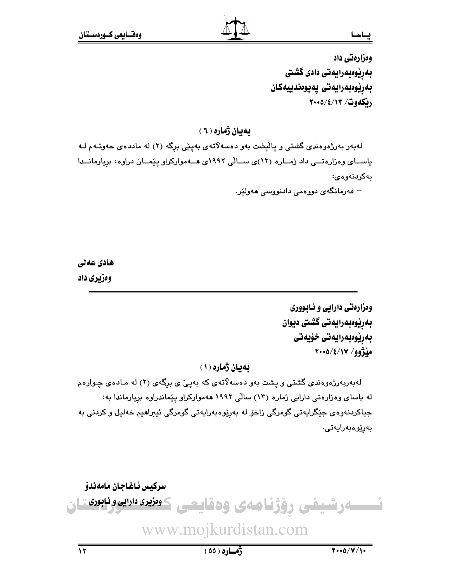وهزارهتي داد بەرێوەبەرايەتى دادى گشتى بەريوەبەرايەتى يەيوەندىيەكان ريكەوت/ ٢٠٠٥/٤/١٣

بهيان ژماره ( ٦ )

لهبهر بهرژهوهندی گشتی و پالیشت بهو دهسهلاتهی بهپێی برگه (۲) له ماددهی حهوتـهم لـه یاسـای وهزارهتــی داد ژمــاره (١٢)ی ســالّی ١٩٩٢ی هــهموارکراو ییّمــان دراوه، بریارمانــدا مەكردنەوەي:

– فەرمانگەي دوۋەمى دادنوۋسى ھەۋلتر.

ھادی عەلی وهزيري داد

> ومزارمتی دارایی و ئـابووری بەرپوەبەرايەتى گشتى ديوان بەرپوەبەرايەتى خۆيەتى  $Y \cdot 0 / 2 / 1$ مِلْزُوو

بهيان ژماره (١)

لهبهربهرژهوهندی گشتی و پشت بهو دهسهلاتهی که بهپیّ ی برگهی (۲) له مـادهی چـوارهم له یاسای وهزارهتی دارایی ژماره (۱۳) سالّی ۱۹۹۲ ههموارکراو ییّماندراوه بریارماندا به: جياکردنهوهي جٽگرايهتي گومرگي زاخۆ له بهريوهبهرايهتي گومرگي ئيبراهيم خهليل و کردني به بەرێوەبەرايەتى.

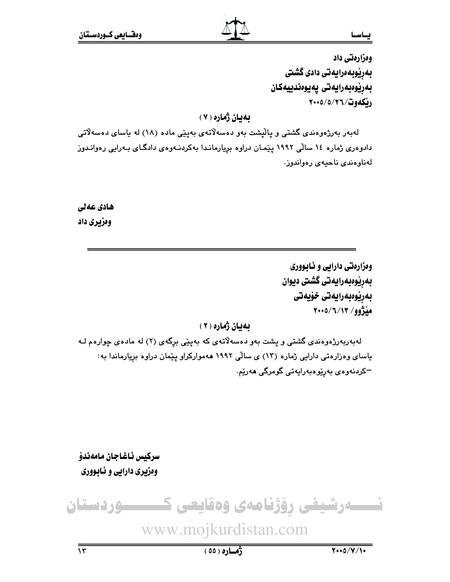ومزارمتي داد بەرێوبەەرايەتى دادى گشتى بەريوەبەرايەتى يەيوەندىيەكان ريكهوت/٢٦/٥/٢٠٠٥

له بان ژماره ( ۷ )

لهبهر بهرژهوهندی گشتی و پالیشت بهو دهسهلاتهی بهینی ماده (۱۸) له پاسای دهسهلاتی دادوهری ژماره ۱۶ سالّی ۱۹۹۲ پیّمان دراوه برِیارماندا بهکردنـهوهی دادگـای بـهرایی رهوانـدوز لەناوەندى ناحيەي رەواندوز.

ھادی عەلی وهزيري داد

> ومزارمتي دارابي و ئـابـووري بەريوەبەرايەتى گشتى ديوان بەرپوەبەرايەتى خۆيەتى منْژُوو/ ٢٠٠٥/٦/١٣

بهيان ژماره (٢)

لهبهربهرژهوهندی گشتی و پشت بهو دهسهلاتهی که بهپێی برگهی (۲) له مادهی چوارهم لـه یاسای وهزارهتی دارایی ژماره (۱۳) ی سالّی ۱۹۹۲ ههموارکراو ییّمان دراوه بریارماندا به: –کردنەوەي بەرێوەبەرايەتى گومرگى ھەرێم.

سركيس ئاغاجان مامەندۆ وهزیری دارایی و نابووری

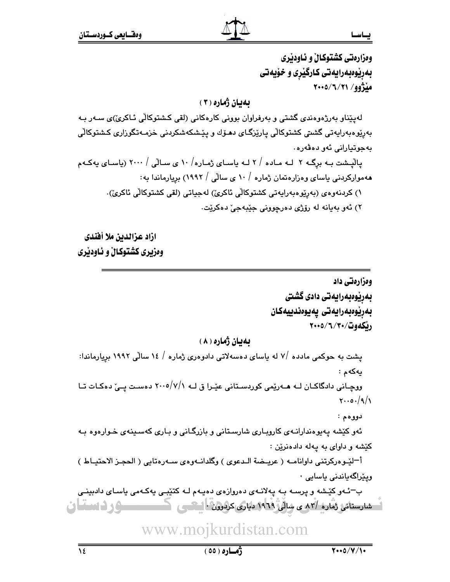ومزارهتي كشتوكال و ئـاودێري بهریوهبهرایهتی کارگیری و خویهتی مڏژوو/ ٢١/٧/٥/١٠٩

## **ىەبان ژمارە ( ٣ )**

لەيێناو بەرژەوەندى گشتى و بەرفراوان بوونى كارەكانى (لقى كشتوكالى ئـاكرىٚ)ى سـەر بـە بەرێوەبەراپەتى گشىتى كشتوكالّى پارێزگـاى دھـۆك و پێشكەشكردنى خزمـﻪتگوزارى كـشتوكالّى بەجوتيارانى ئەو دەۋەرە .

یالْیشت بـه برگـه ۲ لـه مـاده / ۲ لـه یاسـای ژمـاره/ ۱۰ ی سـالّی / ۲۰۰۰ (یاسـای یهکـهم ههموارکردنی یاسای وهزارهتمان ژماره / ۱۰ ی سالّی / ۱۹۹۲) بریارماندا به:

١) كردنەوەي (بەرێوەبەرايەتى كشتوكالْي ئاكرىْ) لەجياتى (لقى كشتوكالّى ئاكرىْ).

۲) ئەو بەيانە لە رۆژى دەرچوونى جێبەجىٚ دەكرێت.

ازاد عزالدين ملا أفندى وهزيري كشتوكال و ئـاودێري

> ومزارهتي داد بەرێوەبەرايەتى دادى گشتى بەريوەبەرايەتى يەيوەندييەكان ريكهوت/٣٠/٣٠/٢٠٠٥

**ىەيان ژمارە ( ۸ )** 

یشت به حوکمی مادده /۷ له یاسای دهسهلاتی دادوهری ژماره / ۱۶ سالّی ۱۹۹۲ بریارماندا: يەكەم :

ووچـانی دادگاکـان لـه هــهریمی کوردسـتانی عیّـرا ق لـه ٧/٧/١٠٠٥ دهسـت یــیّ دهکـات تـا  $Y \cdot 0.91$ 

دووهم:

ئهو کێشه پهپوهندارانـهی کاروبـاری شارسـتانی و بازرگـانی و بـاری کهسـینهی خـوارهوه بـه کێشه و داوای به پهله دادهنرێن :

أ־ليْــوهركرتني داوانامــه ( عريــضة الــدعوى ) وگلدانــهوهي ســهرهتايي ( الحجـز الاحتيــاط ) ویێراگەیاندنی یاسایی ۰

ب-ئـهو کێشه و پرسـه بـه پهلانـهى دهروازهى دهيـهم لـه کتێبـى پهکـهمى پاسـاى دادبينـى اس معارستانی ژماره /٨٣ ي سالي ١٩٦٩ دياری کردون - استعمى المستعمر الى الاساسا الى

www.mojkurdistan.com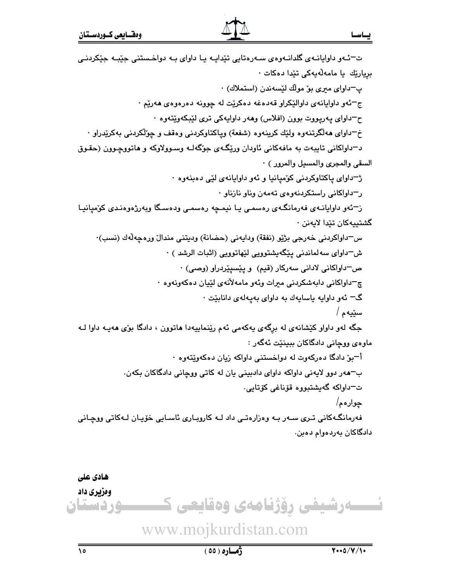يساسسا

ت־ئـهو داوايانـهي گلدانـهوهي سـهرهتايي تێدايـه يـا داواي بـه دواخـستني جێبـه جێکردنـي بريارێك يا مامەلّەيەكى تێدا دەكات ٠ پ−داوای میری بو ْمولك لَيْسەندن (استملاك) ∙ ج–ئەو داوايانەي داوالێكراو قەدەغە دەكرێت لە چوونە دەرەوەي ھەرێم · ح<sup>—</sup>داوای پهریووت بوون (افلاس) وههر داوایهکی تری لێبکهوێتهوه · خ<sup>—</sup>داواي هەلگرتنەوه ولێك كرينەوه (شفعة) وياكتاوكردنى وەقف و چۆلكردنى بەكرێدراو · د-داواکانی تایبهت به مافهکانی ئاودان ورێگ4ی جۆگهك وسوولاوكه و هاتووچوون (حقوق السقى والمجرى والمسيل والمرور ) · ژ-داوای پاکتاوکردنی کومیانیا و ئهو داوایانهی لێی دهبنهوه · ر<sup>—</sup>داواکانی راستکردنهوهی تهمهن وناو نازناو · ز-ئەو داوايانـەي فەرمانگـەي رەسمـى يـا نيمـچە رەسمـى ودەسـگا وبەرژەوەنـدى كۆمپانيـا گشتيپەكان تێدا لايەنن ٠ س—داواكردني خەرجى بژێو (نفقة) ودايەنى (حضانة) وديتنى مندال ورەجەلّەك (نسب)٠ ش–داوای سه لماندنی پێگهیشتوویی لێهاتوویی (اثبات الرشد ) ٠ ص-داواكانى لادانى سەركار (قيم) و يێسيێردراو (وصى) ٠ چ<sup>—</sup>داواکاني دابەشکردني مىرات وئەو مامەلأنەي لێپان دەكەونەوە ٠ گ= ئەو داوايە ياسايەك بە داواي بەيەلەي دانابێت ٠ سێڽەم / جگه لهو داواو کێشانهی له برگهی پهکهمی ئهم رێنماییهدا هاتوون ، دادگا بوٌی ههیـه داوا لـه ماوەي ووچانى دادگاكان بېينێت ئەگەر : أ<sup>—</sup>بوٌ دادگا دهرکهوت له دواخستنی داواکه زیان دهکهوییتهوه · ب-هەر دوو لايەنى داواكە داواي دادبينى يان لە كاتى ووچانى دادگاكان بكەن. ت=داواكه گەيشتېروە قۆناغى كۆتايى. ڇوارهم/ فەرمانگـەكانى تـرى سـەر بـە وەزارەتـى داد لـە كاروبـارى ئاسـابى خۆيـان لـەكاتى ووچـانى دادگاکان بەردەوام دەبن. هادی علی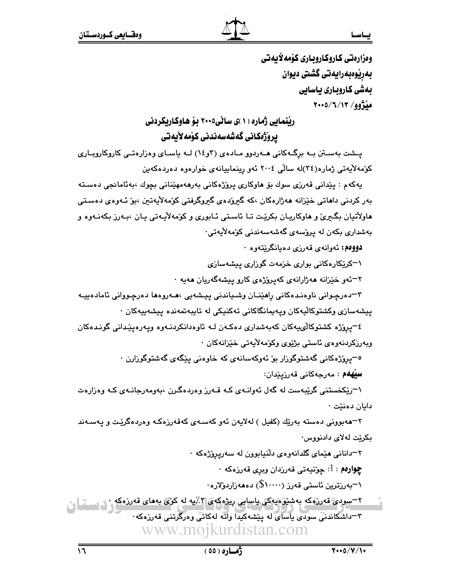وەزارەتى كاروكاروىيارى كۆمەلايەتى بەرپوەبەرايەتى گشتى ديوان بەشى كاروبارى ياسايى مڏژوو/ ۲۰۰۵/٦/١٣

ریْنمایی ژماره (۱)ی سانی۲۰۰۵ یوْ هاوکاریکردنی بروژەكانى گەشەسەندنى كۆمەلأيەتى

یـشت بهسـتن بـه برگـهکانی هـهردوو مـادهی (۴و١٤) لـه پاسـای وهزارهتـی کاروکاروپـاری كۆمەلايەتى ژمارە(٣٤)لە سالى ٢٠٠٤ ئەو رېنماييانەي خوارەوە دەردەكەين

پەكەم : پێدانى قەرزى سوك بۆ ھاوكارى پرۆژەكانى بەرھەمھێنانى بچوك ،بەئامانجى دەستە بەر كردنى داھاتى خێزانە ھەژارەكان ،كە گىرۆدەي گىروگرفتى كۆمەلايەتىن ،بۆ ئـەوەي دەسـتى هاولأتيان بگيريّ و هاوكاريـان بكريّت تـا ئاسـتي ئـابوري و كوّمهلاّيـهتي يـان ،بـهرز بكهنـهوه و بەشدارى بكەن لە پرۆسەي گەشەسەندنى كۆمەلايەتى٠

دووهم: ئەوانەي قەرزى دەيانگريتەوە ٠

۱–کریکارهکانی بواری خزمهت گوزاری پیشهسازی

۲–ئەو خێزانە ھەژارانەي كەيرۆژەي كارو ييشەگەريان ھەيە ·

٣–دەرچـوانى ناوەنـدەكانى راھێنــان وشــياندنى پيـشەيى ،ھــەروەھا دەرچـووانى ئامادەييــە پیشەسازی وکشتوکالّیەکان ویەپمانگاکانی تەکنیکی لە تاپبەتمەندە پیشەپیەکان ۰

٤-يروزه كشتوكالىيەكان كەبەشدارى دەكـەن لــه ئاوەدانكردنــەوە ويـەرەيێدانى گونـدەكان ويەرزكردنەوەي ئاستى بژيوي وكۆمەلأيەتى خێزانەكان ٠

<sup>ە ــ</sup>يرۆژەكانى گەشتوگوزار بۆ ئەوكەسانە*ى* كە خاوەنى پێگەى گەشتوگوزارن ·

سِيْهِهُم : مەرجەكانى قەرزىيدان:

۱–ریکخستنی گریبهست له گهل ئهوانـهی کـه قـهرز وهردهگـرن ،بهومهرجانـهی کـه وهزارهت دايان دەنێت ٠

۲–هەبوونى دەستە بەرێك (كفيل ) لەلايەن ئەو كەسـەي كەقەرزەكـە وەردەگرێت و يەسـەند بکریت لهلای دادنووس٠

۲–دانانی هیٌمای گلدانهوهی دلٌنیابوون له سهریروٌژهکه ·

چوارهم : أ: چوٽنيەتى قەرزدان وبرى قەرزەكە ·

۰–بەرزترین ئاستى قەرز (۱۰۰۰۰\$) دەھەزاردۆلارە٠

۲−سودی قەررەکە بەشىرەيەكى ياسايى رىژەکەی *۳٪*بە لە کۆی بەمای قەررەکە ۳=داشکاندنی سودی باسای له بیشهکیدا واته لهکاتی وهرگرتنی قهرزهکه www.mojkurdistan.com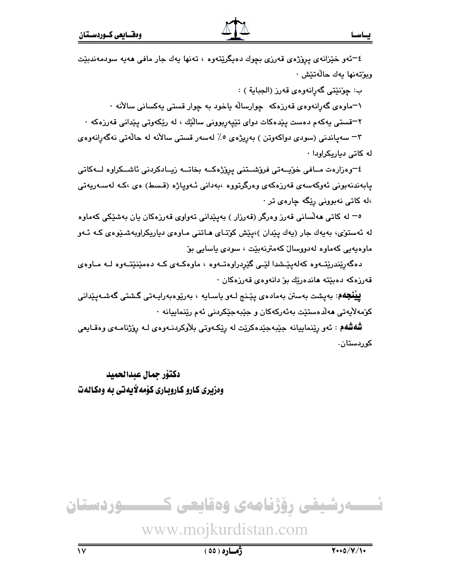٤–ئەو خێزانەى پرۆژەى قەرزى بچوك دەپگرێتەوە ، تەنھا يەك جار مافى ھەيە سودمەندبێت وبوٽەنها بەك حالەتێش ٠

ب: چوٽنٽي گەرانەوەي قەرز (الجباية ) :

۱–ماوەی گەرانەوەی قەرزەكە چوارسالّە ياخود بە چوار قستى يەكسانى سالآنە ·

۰ -قستی یهکهم دهست پێدهکات دوای تێیهربوونی سالێك ، له رێکهوتی یێدانی قهرزهکه**\*** 

۳– سەياندنى (سودى دواكەوتن ) بەريژەي ٥٪ لەسەر قستى سالآنە لە حالّەتى نەگەرانەوەي له کاتی دیاریکراودا<sup>.</sup>

<sup>2</sup>–وەزارەت مــافى خۆيــەتى فرۆشــتنى پرۆژەكــە بخاتــە زيــادكردنى ئاشــكراوە لــەكاتى پابەندنەبونى ئەوكەسەى قەرزەكەى وەرگرتووە ،بەدانى ئـەوپاژە (قـسط) ەى ،كـە لەسـەريەتى  $\cdot$  اله کاتی نهبوونی ریّگه چاره $\cdot$  تر $\cdot$ 

ه− له کاتی مهڵسانی قهرز وهرگر (قهرزار ) بهپێدانی تهواوی قهرزهکان یان بهشێکی کهماوه له ئەستۆی، بەيەك جار (يەك يێدان )،يێش كۆتـاى ھـاتنى مـاوەى دياريكراويەشىێوەى كـە ئـەو ماوەپەيى كەماوە لەدووسالْ كەمترنەبێت ، سودى ياسايى بۆ

دهگەرِیٚندریٚتـهوه کەلەپیٚـشدا لیّـی گیٚرِدراوەتـهوه ، ماوەکـهى کـه دەمیٚنیٚتـهوه لــه مـاوەی قەرزەكە دەبێتە ھاندەرێك بۆ دانەوەي قەرزەكان ·

**ييْنْجَهْم**: بەيشت بەستن بەمادەي يێنج لـەو ياسـايە ، بەرێوەبەراپـەتى گىشتى گەشـەيێدانى كۆمەلأيەتى ھەلدەستێت بەئەركەكان و جێبەجێكردنى ئەم رێنماييانە ٠

**شُهشُهم** : ئەو رِيّنماييانە جێبەجێەكرێت لە رِيٚكەوتى بلاّوكردنـەوەى لـە رِوّژنامـەى وەقـايعى کورڊستان،

دكتۆر جمال عبدالحميد ومزیری کارو کاروباری کوْمه لایهتی به ومکالهت



# www.mojkurdistan.com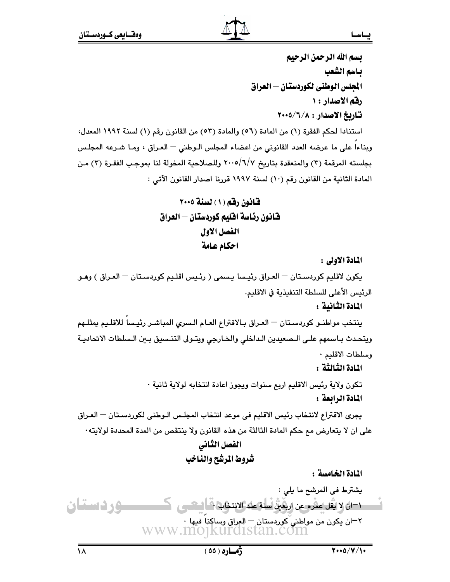بسم الله الرحمن الرحيم يباسم الشعب الجلس الوطني لكوردستان — العراق رقم الاصدار : ١ تاريخ الاصدار : ٢٠٠٥/٦/٨ استنادا لحكم الفقرة (١) من المادة (٥٦) والمادة (٥٣) من القانون رقم (١) لسنة ١٩٩٢ المعدل، وبناءا على ما عرضه العدد القانوني من اعضاء المجلس الـوطني – العـراق ، ومـا شـرعه المجلـس بجلسته المرقمة (٣) والمنعقدة بتاريخ ٢٠٠٥/٦/٧ وللصلاحية المخولة لنا بموجب الفقرة (٣) من المادة الثانية من القانون رقم (١٠) لسنة ١٩٩٧ قررنا اصدار القانون الآتي :

> قانون رقم (١) لسنة ٢٠٠٥ فانون رئاسة افليم كوردستان — العراق الفصل الاول احكام عامة

> > المادة الأولى :

يكون لاقليم كوردستان — العـراق رئيسا يـسمى ( رئـيس اقلـيم كوردسـتان — العـراق ) وهـو الرئيس الأعلى للسلطة التنفيذية في الاقليم.

المادة الثانية :

ينتخب مواطنـو كوردسـتان — العـراق بـالاقتراع العـام الـسرى المباشـر رئيـسا للاقلـيم يمثلـهم ويتحدث بـاسمهم علـى الـصعيدين الـداخلي والخـارجي ويتـولى التنـسيق بـين الـسلطات الاتحاديـة وسلطات الاقليم ٠

المادة الثّالثّة :

تكون ولاية رئيس الاقليم اربع سنوات ويجوز اعادة انتخابه لولاية ثانية · المادة الرابعة :

يجري الاقتراع لانتخاب رئيس الاقليم في موعد انتخاب المجلس الـوطني لكوردسـتان — العـراق على ان لا يتعارض مم حكم المادة الثالثة من هذه القانون ولا ينتقص من المدة المحددة لولايته٠ الفصل الثانى

شروط المرشح والناخب

المادة الخامسة :

 $\sqrt{100/v/100}$ 

 $\lambda$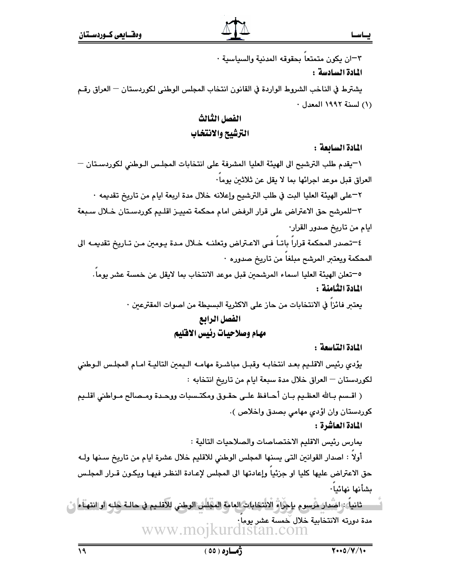٣-ان يكون متمتعا بحقوقه المدنية والسياسية ·

#### المادة السادسة :

يشترط في الناخب الشروط الواردة في القانون انتخاب المجلس الوطني لكوردستان — العراق رقـم (١) لسنة ١٩٩٢ المعدل ٠

# الفصل الثالث الترشيح والانتخاب

المادة السابعة :

١-يقدم طلب الترشيح الى الهيئة العليا المشرفة على انتخابات المجلس الـوطني لكوردسـتان – العراق قبل موعد اجرائها بما لا يقل عن ثلاثين بوما·

٢–على الهيئة العليا البت في طلب الترشيح وإعلانه خلال مدة اربعة ايام من تاريخ تقديمه ٠

٣–للمرشح حق الاعتراض على قرار الرفض امام محكمة تمييـز اقلـيم كوردسـتان خـلال سـبعة ايام من تاريخ صدور القرار·

٤-تصدر المحكمة قراراً باتــاً فــى الاعـتراض وتعلنــه خــلال مـدة يـومين مـن تــاريخ تقديمــه الى المحكمة ويعتبر المرشح مبلغا من تاريخ صدوره ·

0–تعلن الهيئة العليا اسماء المرشحين قبل موعد الانتخاب بما لايقل عن خمسة عشر يوما. المادة الثامنة :

يعتبر فائزاً في الانتخابات من حاز على الاكثرية البسيطة من اصوات المقترعين ·

# القصل الرائع

## مهام وصلاحيات رئيس الاقليم

المادة التاسعة :

يؤدى رئيس الاقليم بعد انتخابـه وقبـل مباشـرة مهامـه الـيمين التاليـة امـام المجلـس الـوطني لكوردستان — العراق خلال مدة سبعة ايام من تاريخ انتخابه :

( اقـسم بـالله العظـيم بـان أحـافظ علـى حقـوق ومكتـسبات ووحـدة ومـصالح مـواطني اقلـيم كوردستان وان اؤدي مهامي بصدق واخلاص ).

المادة العاشرة :

يمارس رئيس الاقليم الاختصاصات والصلاحيات التالية :

أولا : اصدار القوانين التي يسنها المجلس الوطني للاقليم خلال عشرة ايام من تاريخ سـنها ولـه حق الاعتراض عليها كليا او جزئيا وإعادتها الى المجلس لإعـادة النظـر فيهـا ويكـون قـرار المجلـس بشأنها نهائيا٠

ِ ثانياً : امْنُدارَ مْرْسِوم بِإِجْرَاءُ الانْتِمَابِاتِ العامةِ المجلسُ الوطني للاقلـيم في حالـة حلبه او انتهناء ن مدة دورته الانتخابية خلال خمسة عشر يوما. www.moikurdistan.com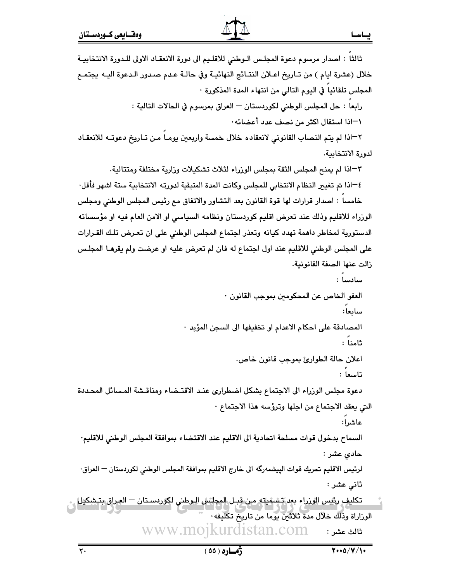### يساسسا

ثالثا : اصدار مرسوم دعوة المجلس الـوطني للاقليم الى دورة الانعقـاد الاولى للـدورة الانتخابيـة خلال (عشرة ايام ) من تـاريخ اعـلان النتـائج النهائيـة وفي حالـة عـدم صـدور الـدعوة اليـه يجتمـع المجلس تلقائيا في اليوم التالي من انتهاء المدة المذكورة · رابعا : حل المجلس الوطني لكوردستان — العراق بمرسوم في الحالات التالية : \−اذا استقال اكثر من نصف عدد أعضائه· ٢–اذا لم يتم النصاب القانوني لانعقاده خلال خمسة واربعين يومـا مـن تـاريخ دعوتـه للانعقـاد لدورة الانتخابية. ٣–اذا لم يمنح المجلس الثقة بمجلس الوزراء لثلاث تشكيلات وزارية مختلفة ومتتالية. ٤—اذا تم تغيير النظام الانتخابي للمجلس وكانت المدة المتبقية لدورته الانتخابية ستة اشهر فأقل· خامسا : اصدار قرارات لها قوة القانون بعد التشاور والاتفاق مع رئيس المجلس الوطني ومجلس الوزراء للاقليم وذلك عند تعرض اقليم كوردستان ونظامه السياسي او الامن العام فيه او مؤسساته الدستورية لمخاطر داهمة تهدد كيانه وتعذر اجتماع المجلس الوطني على ان تعرض تلك القرارات على المجلس الوطني للاقليم عند اول اجتماع له فان لم تعرض عليه او عرضت ولم يقرهـا المجلـس زالت عنها الصفة القانونية. سادسا : العفو الخاص عن المحكومين بموجب القانون · سابعا: المصادقة على احكام الاعدام او تخفيفها الى السجن المؤبد · ثامنا : اعلان حالة الطوارئ بموجب قانون خاص. تاسعا : دعوة مجلس الوزراء الى الاجتماع بشكل اضطرارى عند الاقتضاء ومناقشة المسائل المحددة التي يعقد الاجتماع من اجلها وترؤسه هذا الاجتماع · عاشرا: السماح بدخول قوات مسلحة اتحادية الى الاقليم عند الاقتضاء بموافقة المجلس الوطني للاقليم· حادی عشر : لرئيس الاقليم تحريك قوات الييشمەرگە الى خارج الاقليم بموافقة المجلس الوطني لكوردستان — العراق· ثاني عشر : تكليف رئيس الوزراء بعد تشهيلته من قبـل المجلس الـوطني لكوردسـتان – العراق بتـشكيل الوراراة وذلك خلال مدة ثلاثين يوما من تاريخ تكليفه· تالث عشر: www.mojkurdistan.com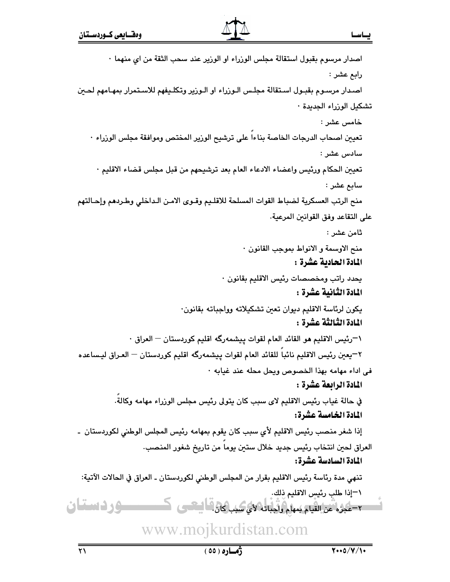اصدار مرسوم بقبول استقالة مجلس الورراء او الورير عند سحب الثقة من اي منهما · رابع عشر : اصدار مرسـوم بقبـول اسـتقالة مجلـس الـورراء او الـورير وتكلـيفهم للاسـتمرار بمهـامهم لحـين تشكيل الوزراء الجديدة ٠ خامس عشر : تعيين اصحاب الدرجات الخاصة بناءا على ترشيح الوزير المختص وموافقة مجلس الوزراء · سادس عشر : تعيين الحكام ورئيس واعضاء الادعاء العام بعد ترشيحهم من قبل مجلس قضاء الاقليم · سابع عشر : منح الرتب العسكرية لضباط القوات المسلحة للاقليم وقـوى الامـن الـداخلي وطـردهم وإحـالتهم على التقاعد وفق القوانين المرعية. ثامن عشر : منح الاوسمة و الانواط بموجب القانون · المادة الحادية عشرة : يحدد راتب ومخصصات رئيس الاقليم بقانون ٠ المادة الثّانية عشرة : يكون لرئاسة الاقليم ديوان تعين تشكيلاته وواجباته بقانون· المادة الثَّالثَّة عشرة : \¬رئيس الاقليم هو القائد العام لقوات بيشمهرگه اقليم كوردستان — العراق · ٢–يعين رئيس الاقليم نائبا للقائد العام لقوات پيشمهرگه اقليم كوردستان — العـراق ليـساعده في اداء مهامه بهذا الخصوص ويحل محله عند غيابه ٠ المادة الرابعة عشرة : في حالة غياب رئيس الاقليم لاي سبب كان يتولى رئيس مجلس الوزراء مهامه وكالة. المادة الخامسة عشرة: إذا شغر منصب رئيس الاقليم لأي سبب كان يقوم بمهامه رئيس المجلس الوطني لكوردستان ۔ العراق لحين انتخاب رئيس جديد خلال ستين يوماً من تاريخ شغور المنصب. المادة السادسة عشرة: تنهي مدة رئاسة رئيس الاقليم بقرار من المجلس الوطني لكوردستان ـ العراق في الحالات الآتية: \−إذا طلب رئيس الاقليم ذلك. ــوردستان ٢-عجزه عن القيام بمهام وأجباته لأى سبب كان " استعبى

# www.mojkurdistan.com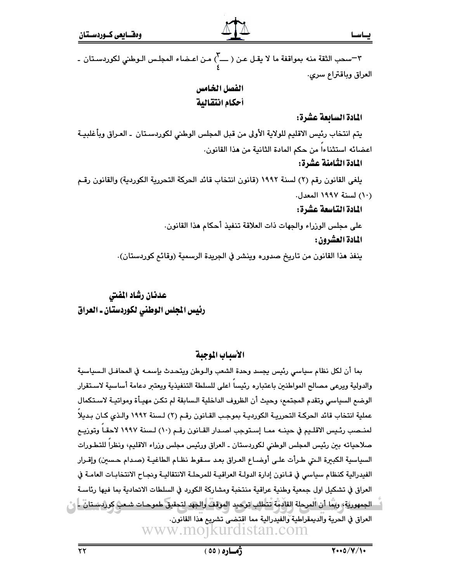٣-سحب الثقة منه بمواقفة ما لا يقـل عـن ( ــــ<sup>7</sup>) مـن اعـضاء المجلـس الـوطني لكوردسـتان ـ العراق وباقتراع سرى.

## الفصل الخامس أحكام انتقالية

#### المادة السائعة عشرة:

يتم انتخاب رئيس الاقليم للولاية الأولى من قبل المجلس الوطني لكوردسـتان ـ العـراق وبأغلبيـة اعضائه استثناءا من حكم المادة الثانية من هذا القانون.

#### المادة الثامنة عشرة:

يلغي القانون رقم (٢) لسنة ١٩٩٢ (قانون انتخاب قائد الحركة التحررية الكوردية) والقانون رقـم (١٠) لسنة ١٩٩٧ المعدل.

# المادة التناسعة عشرة:

على مجلس الوزراء والجهات ذات العلاقة تنفيذ أحكام هذا القانون. المادة العشرون :

ينفذ هذا القانون من تاريخ صدوره وينشر في الجريدة الرسمية (وقائع كوردستان).

# عدنان رشاد المفتى رئيس المجلس الوطني لكوردستان ـ العراق

# الأسباب الموجبة

بما أن لكل نظام سياسي رئيس يجسد وحدة الشعب والـوطن ويتحدث بإسمـه في المحافـل الـسياسية والدولية ويرعى مصالح المواطنين باعتباره رئيساً اعلى للسلطة التنفيذية ويعتبر دعامة أساسية لاستقرار الوضم السياسي وتقدم المجتمع، وحيث أن الظروف الداخلية الـسابقة لم تكـن مهيـأة ومواتيـة لاسـتكمال عملية انتخاب قائد الحركـة التحرريـة الكورديـة بموجـب القـانون رقـم (٢) لـسنة ١٩٩٢ والـذي كـان بـديلاً لمنـصب رئـيس الاقلـيم في حينــه ممـا إسـتوجب اصـدار القـانون رقـم (١٠) لـسنة ١٩٩٧ لاحقـاً وتوزيــع صلاحياته بين رئيس المجلس الوطني لكوردستان ـ العراق ورئيس مجلس وزراء الاقليم، ونظراً للتطـورات السياسية الكبيرة التي طرأت على أوضاع العراق بعد سقوط نظام الطاغيـة (صدام حسين) وإقـرار الفيدرالية كنظام سياسي في قـانون إدارة الدولـة العراقيـة للمرحلـة الانتقاليـة ونجـاح الانتخابـات العامـة في العراق في تشكيل اول جمعية وطنية عراقية منتخبة ومشاركة الكورد في السلطات الاتحادية بما فيها رئاسـة الجمهورية› ويمَّا أن المرحلة القادمة تتطلب توكيد الموقف والجهد لتحقيق طموحـات شـعب كوردسـتان ـ | و ْ العراق في الحرية والديمقراطية والفيدرالية مما اقتضى تشريع هذا القانون. www.mojkurdistan.com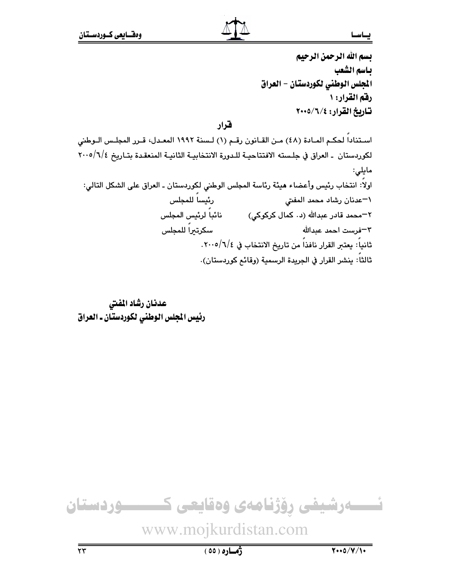#### يساسسا

بسم الله الرحمن الرحيم بـاسم الشعب المجلس الوطني لكوردستان - العراق رفق القرار: ١ تاريخ القرار: ٢٠٠٥/٦/٤

فنرار

استنادا لحكم المـادة (٤٨) مـن القـانون رقـم (١) لـسنة ١٩٩٢ المعـدل، قـرر المجلـس الـوطني لكوردستان ـ العراق في جلسته الافتتاحيـة للـدورة الانتخابيـة الثانيـة المنعقـدة بتـاريخ ٢٠٠٥/٦/٤ مايلى: اولاً: انتخاب رئيس وأعضاء هيئة رئاسة المجلس الوطني لكوردستان ـ العراق على الشكل التالي: رئيساً للمجلس ١–عدنان رشاد محمد المفتى ِ نائباً لرئيس المجلس ۲−محمد قادر عبدالله (د۰ کمال کرکوکی) سكرتيراً للمجلس ٣–فرست احمد عبدالله ثانياً: يعتبر القرار نافذاً من تاريخ الانتخاب في ٧٠٠٥/٦/٤. ثالثاً: ينشر القرار في الجريدة الرسمية (وقائم كوردستان).

عدنان رشاد المفتي رئيس المجلس الوطني لكوردستان ـ العراق

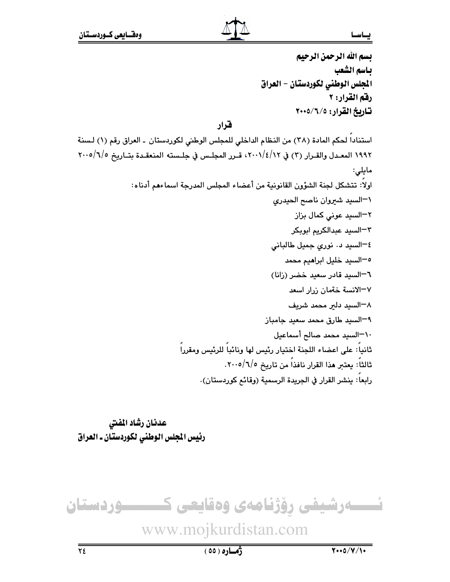#### يساسسا

بسم الله الرحمن الرحيم بـاسم الشعب المجلس الوطني لكوردستان - العراق رفق القرار: ٢ تاريخ القرار: ٢٠٠٥/٦/٥

قرار

استناداً لحكم المادة (٣٨) من النظام الداخلي للمجلس الوطني لكوردستان ـ العراق رقم (١) لـسنة ١٩٩٢ المعـدل والقـرار (٣) في ٢٠٠١/٤/١٢، قـرر المجلـس في جلـسته المنعقـدة بتـاريخ ٢٠٠٥/٦/٥ مايلى: اولاً: تتشكل لجنة الشؤون القانونية من أعضاء المجلس المدرجة اسماءهم أدناه: ١-السيد شيروان ناصح الحيدرى ٢–السيد عوني كمال بزاز ٣-السيد عبدالكريم ابوبكر ٤–السيد د. نورى جميل طالبانى <sup>0−</sup>السيد خليل ابرا**م**يم محمد ٦-السيد قادر سعيد خضر (زانا) ٧–الانسة خةمان زرار اسعد ٨–السيد دلير محمد شريف ٩–السيد طارق محمد سعيد جامباز ١٠-السيد محمد صالح أسماعيل ثانياً: على اعضاء اللجنة اختيار رئيس لها ونائباً للرئيس ومقرراً ثالثاً: يعتبر هذا القرار نافذاً من تاريخ ٢٠٠٥/٦/٥. رابعاً: ينشر القرار في الجريدة الرسمية (وقائم كوردستان).

عدنان رشاد المفتى رئيس الجلس الوطني لكوردستان ـ العراق



# www.mojkurdistan.com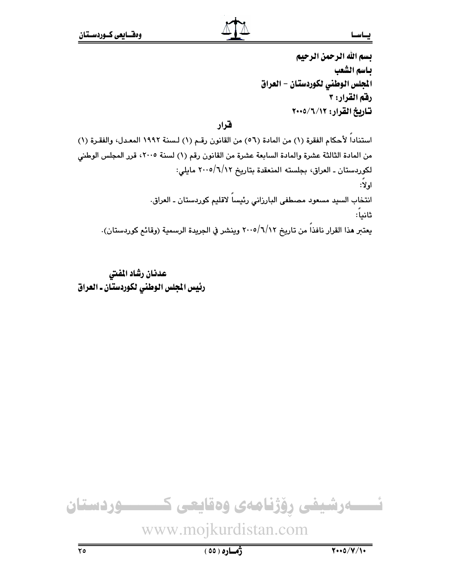#### يساسما

بسم الله الرحمن الرحيم بـاسم الشعب المجلس الوطني لكوردستان - العراق رفق القرار: ٣ تاريخ القرار: ١٢/٦/١٧-٢٠٠٥

# فخرار

استناداً لأحكام الفقرة (١) من المادة (٥٦) من القانون رقـم (١) لـسنة ١٩٩٢ المعـدل، والفقـرة (١) من المادة الثالثة عشرة والمادة السابعة عشرة من القانون رقم (١) لسنة ٢٠٠٥، قرر المجلس الوطني لكوردستان ـ العراق، بجلسته المنعقدة بتاريخ ١/٦/١٢مايلي: اولا: انتخاب السيد مسعود مصطفى البارزاني رئيساً لاقليم كوردستان ـ العراق. ثانيا: يعتبر هذا القرار نافذاً من تاريخ ٢٠٠٥/٦/١٢ وينشر في الجريدة الرسمية (وقائم كوردستان).

عدنان رشاد المفتى رئيس الجلس الوطني لكوردستان ـ العراق